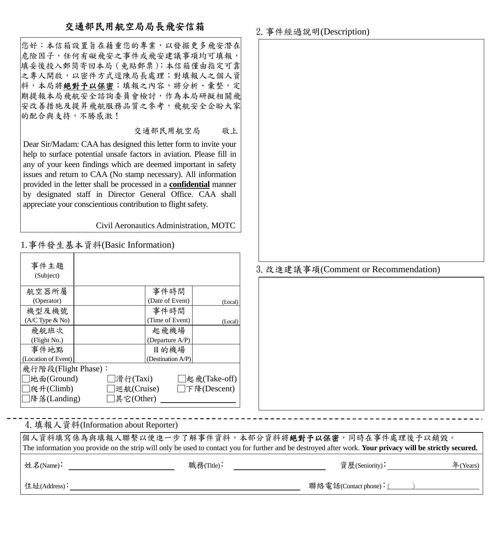## 交通部民用航空局局長飛安信箱

您好:本信箱設置旨在藉重您的專業,以發掘更多飛安潛在 危險因子,任何有礙飛安之事件或飛安建議事項均可填報, 填妥後投入郵筒寄回本局(免貼郵票);本信箱僅由指定可靠 之專人開啟,以密件方式逕陳局長處理;對填報人之個人資 料,本局將絕對予以保密;填報之內容,將分析、彙整,定 |<br>|期提報本局飛航安全諮詢委員會檢討,作為本局研擬相關飛 安改善措施及提昇飛航服務品質之參考,飛航安全企盼大家 的配合與支持,不勝感激!

交通部民用航空局 敬上

Dear Sir/Madam: CAA has designed this letter form to invite your help to surface potential unsafe factors in aviation. Please fill in any of your keen findings which are deemed important in safety issues and return to CAA (No stamp necessary). All information provided in the letter shall be processed in a **confidential** manner by designated staff in Director General Office. CAA shall appreciate your conscientious contribution to flight safety.

Civil Aeronautics Administration, MOTC

1.事件發生基本資料(Basic Information)

| 事件主題                 |                                  |
|----------------------|----------------------------------|
| (Subject)            |                                  |
|                      |                                  |
| 航空器所屬                | 事件時間                             |
| (Operator)           | (Date of Event)<br>(Local)       |
| 機型及機號                | 事件時間                             |
| $(A/C$ Type $\&$ No) | (Time of Event)<br>(Local)       |
| 飛航班次                 | 起飛機場                             |
| (Flight No.)         | (Departure A/P)                  |
| 事件地點                 | 目的機場                             |
| (Location of Event)  | (Destination A/P)                |
| 飛行階段(Flight Phase):  |                                  |
| 地面(Ground)           | 滑行(Taxi) <br> 起飛(Take-off)       |
| 爬升(Climb)            | 巡航(Cruise)<br>$\Box$ 下降(Descent) |
| 降落(Landing)          | 其它(Other)                        |

## 2.事件經過說明(Description)



## 3.改進建議事項(Comment or Recommendation)

4.填報人資料(Information about Reporter)

個人資料填寫係為與填報人聯繫以便進一步了解事件資料,本部分資料將絕對予以保密,同時在事件處理後予以銷毀。 The information you provide on the strip will only be used to contact you for further and be destroyed after work. **Your privacy will be strictly secured.**

姓名(Name): 職務(Title): 資歷(Seniority): 年(Years)

住址(Address):  $\frac{4}{3}$  (Address):